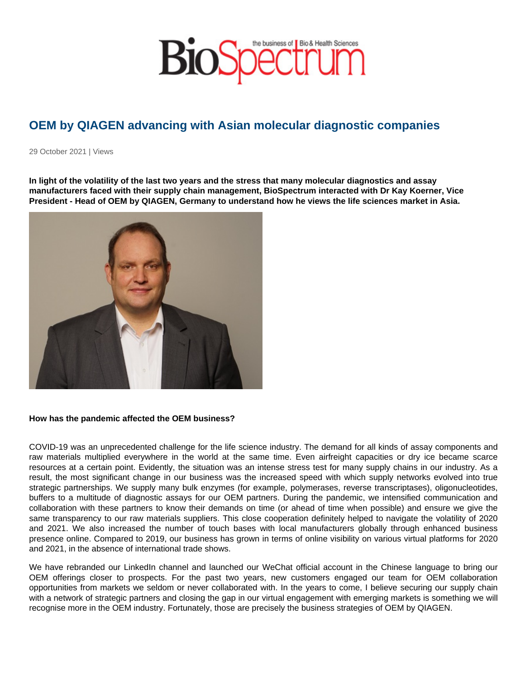# OEM by QIAGEN advancing with Asian molecular diagnostic companies

29 October 2021 | Views

In light of the volatility of the last two years and the stress that many molecular diagnostics and assay manufacturers faced with their supply chain management, BioSpectrum interacted with Dr Kay Koerner, Vice President - Head of OEM by QIAGEN, Germany to understand how he views the life sciences market in Asia.

How has the pandemic affected the OEM business?

COVID-19 was an unprecedented challenge for the life science industry. The demand for all kinds of assay components and raw materials multiplied everywhere in the world at the same time. Even airfreight capacities or dry ice became scarce resources at a certain point. Evidently, the situation was an intense stress test for many supply chains in our industry. As a result, the most significant change in our business was the increased speed with which supply networks evolved into true strategic partnerships. We supply many bulk enzymes (for example, polymerases, reverse transcriptases), oligonucleotides, buffers to a multitude of diagnostic assays for our OEM partners. During the pandemic, we intensified communication and collaboration with these partners to know their demands on time (or ahead of time when possible) and ensure we give the same transparency to our raw materials suppliers. This close cooperation definitely helped to navigate the volatility of 2020 and 2021. We also increased the number of touch bases with local manufacturers globally through enhanced business presence online. Compared to 2019, our business has grown in terms of online visibility on various virtual platforms for 2020 and 2021, in the absence of international trade shows.

We have rebranded our LinkedIn channel and launched our WeChat official account in the Chinese language to bring our OEM offerings closer to prospects. For the past two years, new customers engaged our team for OEM collaboration opportunities from markets we seldom or never collaborated with. In the years to come, I believe securing our supply chain with a network of strategic partners and closing the gap in our virtual engagement with emerging markets is something we will recognise more in the OEM industry. Fortunately, those are precisely the business strategies of OEM by QIAGEN.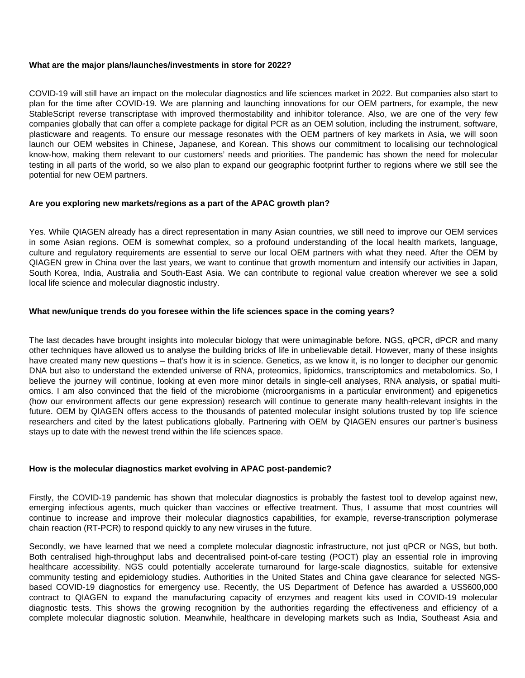### **What are the major plans/launches/investments in store for 2022?**

COVID-19 will still have an impact on the molecular diagnostics and life sciences market in 2022. But companies also start to plan for the time after COVID-19. We are planning and launching innovations for our OEM partners, for example, the new StableScript reverse transcriptase with improved thermostability and inhibitor tolerance. Also, we are one of the very few companies globally that can offer a complete package for digital PCR as an OEM solution, including the instrument, software, plasticware and reagents. To ensure our message resonates with the OEM partners of key markets in Asia, we will soon launch our OEM websites in Chinese, Japanese, and Korean. This shows our commitment to localising our technological know-how, making them relevant to our customers' needs and priorities. The pandemic has shown the need for molecular testing in all parts of the world, so we also plan to expand our geographic footprint further to regions where we still see the potential for new OEM partners.

### **Are you exploring new markets/regions as a part of the APAC growth plan?**

Yes. While QIAGEN already has a direct representation in many Asian countries, we still need to improve our OEM services in some Asian regions. OEM is somewhat complex, so a profound understanding of the local health markets, language, culture and regulatory requirements are essential to serve our local OEM partners with what they need. After the OEM by QIAGEN grew in China over the last years, we want to continue that growth momentum and intensify our activities in Japan, South Korea, India, Australia and South-East Asia. We can contribute to regional value creation wherever we see a solid local life science and molecular diagnostic industry.

### **What new/unique trends do you foresee within the life sciences space in the coming years?**

The last decades have brought insights into molecular biology that were unimaginable before. NGS, qPCR, dPCR and many other techniques have allowed us to analyse the building bricks of life in unbelievable detail. However, many of these insights have created many new questions – that's how it is in science. Genetics, as we know it, is no longer to decipher our genomic DNA but also to understand the extended universe of RNA, proteomics, lipidomics, transcriptomics and metabolomics. So, I believe the journey will continue, looking at even more minor details in single-cell analyses, RNA analysis, or spatial multiomics. I am also convinced that the field of the microbiome (microorganisms in a particular environment) and epigenetics (how our environment affects our gene expression) research will continue to generate many health-relevant insights in the future. OEM by QIAGEN offers access to the thousands of patented molecular insight solutions trusted by top life science researchers and cited by the latest publications globally. Partnering with OEM by QIAGEN ensures our partner's business stays up to date with the newest trend within the life sciences space.

## **How is the molecular diagnostics market evolving in APAC post-pandemic?**

Firstly, the COVID-19 pandemic has shown that molecular diagnostics is probably the fastest tool to develop against new, emerging infectious agents, much quicker than vaccines or effective treatment. Thus, I assume that most countries will continue to increase and improve their molecular diagnostics capabilities, for example, reverse-transcription polymerase chain reaction (RT-PCR) to respond quickly to any new viruses in the future.

Secondly, we have learned that we need a complete molecular diagnostic infrastructure, not just qPCR or NGS, but both. Both centralised high-throughput labs and decentralised point-of-care testing (POCT) play an essential role in improving healthcare accessibility. NGS could potentially accelerate turnaround for large-scale diagnostics, suitable for extensive community testing and epidemiology studies. Authorities in the United States and China gave clearance for selected NGSbased COVID-19 diagnostics for emergency use. Recently, the US Department of Defence has awarded a US\$600,000 contract to QIAGEN to expand the manufacturing capacity of enzymes and reagent kits used in COVID-19 molecular diagnostic tests. This shows the growing recognition by the authorities regarding the effectiveness and efficiency of a complete molecular diagnostic solution. Meanwhile, healthcare in developing markets such as India, Southeast Asia and